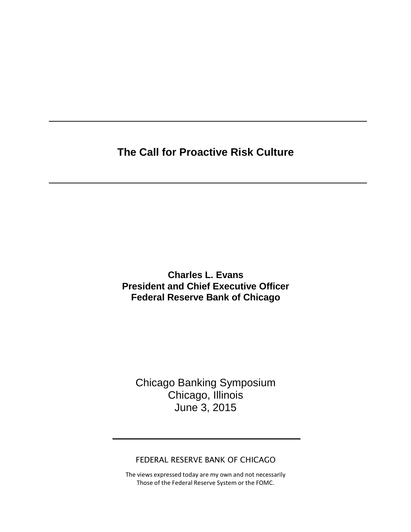**The Call for Proactive Risk Culture**

**Charles L. Evans President and Chief Executive Officer Federal Reserve Bank of Chicago**

Chicago Banking Symposium Chicago, Illinois June 3, 2015

FEDERAL RESERVE BANK OF CHICAGO

The views expressed today are my own and not necessarily Those of the Federal Reserve System or the FOMC.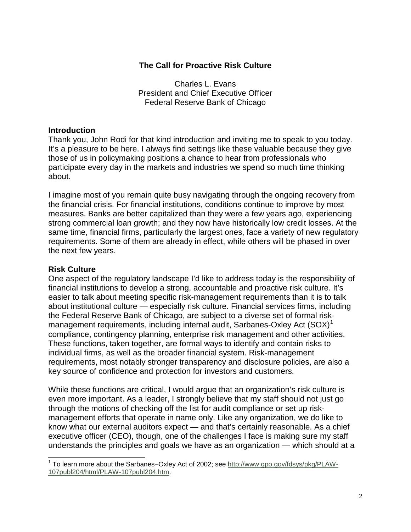#### **The Call for Proactive Risk Culture**

Charles L. Evans President and Chief Executive Officer Federal Reserve Bank of Chicago

### **Introduction**

Thank you, John Rodi for that kind introduction and inviting me to speak to you today. It's a pleasure to be here. I always find settings like these valuable because they give those of us in policymaking positions a chance to hear from professionals who participate every day in the markets and industries we spend so much time thinking about.

I imagine most of you remain quite busy navigating through the ongoing recovery from the financial crisis. For financial institutions, conditions continue to improve by most measures. Banks are better capitalized than they were a few years ago, experiencing strong commercial loan growth; and they now have historically low credit losses. At the same time, financial firms, particularly the largest ones, face a variety of new regulatory requirements. Some of them are already in effect, while others will be phased in over the next few years.

#### **Risk Culture**

One aspect of the regulatory landscape I'd like to address today is the responsibility of financial institutions to develop a strong, accountable and proactive risk culture. It's easier to talk about meeting specific risk-management requirements than it is to talk about institutional culture — especially risk culture. Financial services firms, including the Federal Reserve Bank of Chicago, are subject to a diverse set of formal riskmanagement requirements, including internal audit, Sarbanes-Oxley Act  $(SOX)^T$ compliance, contingency planning, enterprise risk management and other activities. These functions, taken together, are formal ways to identify and contain risks to individual firms, as well as the broader financial system. Risk-management requirements, most notably stronger transparency and disclosure policies, are also a key source of confidence and protection for investors and customers.

While these functions are critical, I would argue that an organization's risk culture is even more important. As a leader, I strongly believe that my staff should not just go through the motions of checking off the list for audit compliance or set up riskmanagement efforts that operate in name only. Like any organization, we do like to know what our external auditors expect — and that's certainly reasonable. As a chief executive officer (CEO), though, one of the challenges I face is making sure my staff understands the principles and goals we have as an organization — which should at a

<span id="page-1-0"></span><sup>1</sup> To learn more about the Sarbanes–Oxley Act of 2002; see [http://www.gpo.gov/fdsys/pkg/PLAW-](http://www.gpo.gov/fdsys/pkg/PLAW-107publ204/html/PLAW-107publ204.htm)[107publ204/html/PLAW-107publ204.htm.](http://www.gpo.gov/fdsys/pkg/PLAW-107publ204/html/PLAW-107publ204.htm)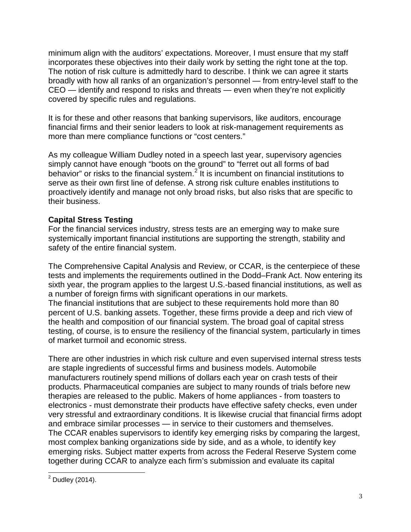minimum align with the auditors' expectations. Moreover, I must ensure that my staff incorporates these objectives into their daily work by setting the right tone at the top. The notion of risk culture is admittedly hard to describe. I think we can agree it starts broadly with how all ranks of an organization's personnel — from entry-level staff to the CEO — identify and respond to risks and threats — even when they're not explicitly covered by specific rules and regulations.

It is for these and other reasons that banking supervisors, like auditors, encourage financial firms and their senior leaders to look at risk-management requirements as more than mere compliance functions or "cost centers."

As my colleague William Dudley noted in a speech last year, supervisory agencies simply cannot have enough "boots on the ground" to "ferret out all forms of bad behavior" or risks to the financial system. $2$  It is incumbent on financial institutions to serve as their own first line of defense. A strong risk culture enables institutions to proactively identify and manage not only broad risks, but also risks that are specific to their business.

# **Capital Stress Testing**

For the financial services industry, stress tests are an emerging way to make sure systemically important financial institutions are supporting the strength, stability and safety of the entire financial system.

The Comprehensive Capital Analysis and Review, or CCAR, is the centerpiece of these tests and implements the requirements outlined in the Dodd–Frank Act. Now entering its sixth year, the program applies to the largest U.S.-based financial institutions, as well as a number of foreign firms with significant operations in our markets. The financial institutions that are subject to these requirements hold more than 80 percent of U.S. banking assets. Together, these firms provide a deep and rich view of the health and composition of our financial system. The broad goal of capital stress testing, of course, is to ensure the resiliency of the financial system, particularly in times of market turmoil and economic stress.

There are other industries in which risk culture and even supervised internal stress tests are staple ingredients of successful firms and business models. Automobile manufacturers routinely spend millions of dollars each year on crash tests of their products. Pharmaceutical companies are subject to many rounds of trials before new therapies are released to the public. Makers of home appliances - from toasters to electronics - must demonstrate their products have effective safety checks, even under very stressful and extraordinary conditions. It is likewise crucial that financial firms adopt and embrace similar processes — in service to their customers and themselves. The CCAR enables supervisors to identify key emerging risks by comparing the largest, most complex banking organizations side by side, and as a whole, to identify key emerging risks. Subject matter experts from across the Federal Reserve System come together during CCAR to analyze each firm's submission and evaluate its capital

<span id="page-2-0"></span> $2$  Dudley (2014).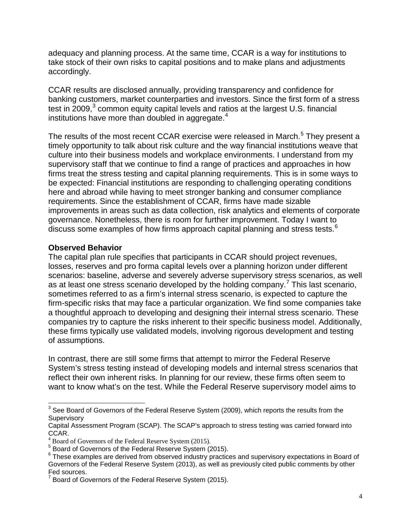adequacy and planning process. At the same time, CCAR is a way for institutions to take stock of their own risks to capital positions and to make plans and adjustments accordingly.

CCAR results are disclosed annually, providing transparency and confidence for banking customers, market counterparties and investors. Since the first form of a stress test in  $2009$ ,<sup>[3](#page-3-0)</sup> common equity capital levels and ratios at the largest U.S. financial institutions have more than doubled in aggregate. $4$ 

The results of the most recent CCAR exercise were released in March.<sup>[5](#page-3-2)</sup> They present a timely opportunity to talk about risk culture and the way financial institutions weave that culture into their business models and workplace environments. I understand from my supervisory staff that we continue to find a range of practices and approaches in how firms treat the stress testing and capital planning requirements. This is in some ways to be expected: Financial institutions are responding to challenging operating conditions here and abroad while having to meet stronger banking and consumer compliance requirements. Since the establishment of CCAR, firms have made sizable improvements in areas such as data collection, risk analytics and elements of corporate governance. Nonetheless, there is room for further improvement. Today I want to discuss some examples of how firms approach capital planning and stress tests. $6$ 

#### **Observed Behavior**

The capital plan rule specifies that participants in CCAR should project revenues, losses, reserves and pro forma capital levels over a planning horizon under different scenarios: baseline, adverse and severely adverse supervisory stress scenarios, as well as at least one stress scenario developed by the holding company.<sup>[7](#page-3-4)</sup> This last scenario, sometimes referred to as a firm's internal stress scenario, is expected to capture the firm-specific risks that may face a particular organization. We find some companies take a thoughtful approach to developing and designing their internal stress scenario. These companies try to capture the risks inherent to their specific business model. Additionally, these firms typically use validated models, involving rigorous development and testing of assumptions.

In contrast, there are still some firms that attempt to mirror the Federal Reserve System's stress testing instead of developing models and internal stress scenarios that reflect their own inherent risks. In planning for our review, these firms often seem to want to know what's on the test. While the Federal Reserve supervisory model aims to

<span id="page-3-0"></span> $3$  See Board of Governors of the Federal Reserve System (2009), which reports the results from the **Supervisory** 

Capital Assessment Program (SCAP). The SCAP's approach to stress testing was carried forward into CCAR.

<sup>&</sup>lt;sup>4</sup> Board of Governors of the Federal Reserve System (2015).

<span id="page-3-2"></span><span id="page-3-1"></span><sup>5</sup> Board of Governors of the Federal Reserve System (2015).

<span id="page-3-3"></span><sup>&</sup>lt;sup>6</sup> These examples are derived from observed industry practices and supervisory expectations in Board of Governors of the Federal Reserve System (2013), as well as previously cited public comments by other Fed sources.

<span id="page-3-4"></span>Board of Governors of the Federal Reserve System (2015).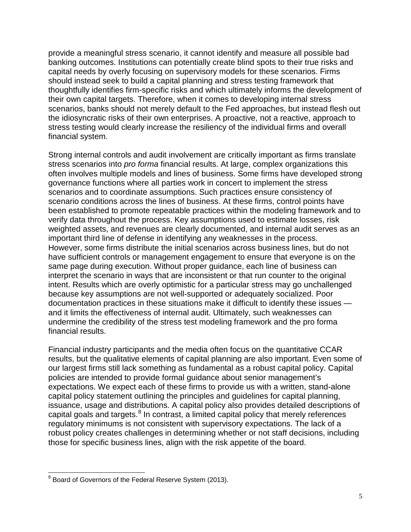provide a meaningful stress scenario, it cannot identify and measure all possible bad banking outcomes. Institutions can potentially create blind spots to their true risks and capital needs by overly focusing on supervisory models for these scenarios. Firms should instead seek to build a capital planning and stress testing framework that thoughtfully identifies firm-specific risks and which ultimately informs the development of their own capital targets. Therefore, when it comes to developing internal stress scenarios, banks should not merely default to the Fed approaches, but instead flesh out the idiosyncratic risks of their own enterprises. A proactive, not a reactive, approach to stress testing would clearly increase the resiliency of the individual firms and overall financial system.

Strong internal controls and audit involvement are critically important as firms translate stress scenarios into *pro forma* financial results. At large, complex organizations this often involves multiple models and lines of business. Some firms have developed strong governance functions where all parties work in concert to implement the stress scenarios and to coordinate assumptions. Such practices ensure consistency of scenario conditions across the lines of business. At these firms, control points have been established to promote repeatable practices within the modeling framework and to verify data throughout the process. Key assumptions used to estimate losses, risk weighted assets, and revenues are clearly documented, and internal audit serves as an important third line of defense in identifying any weaknesses in the process. However, some firms distribute the initial scenarios across business lines, but do not have sufficient controls or management engagement to ensure that everyone is on the same page during execution. Without proper guidance, each line of business can interpret the scenario in ways that are inconsistent or that run counter to the original intent. Results which are overly optimistic for a particular stress may go unchallenged because key assumptions are not well-supported or adequately socialized. Poor documentation practices in these situations make it difficult to identify these issues and it limits the effectiveness of internal audit. Ultimately, such weaknesses can undermine the credibility of the stress test modeling framework and the pro forma financial results.

Financial industry participants and the media often focus on the quantitative CCAR results, but the qualitative elements of capital planning are also important. Even some of our largest firms still lack something as fundamental as a robust capital policy. Capital policies are intended to provide formal guidance about senior management's expectations. We expect each of these firms to provide us with a written, stand-alone capital policy statement outlining the principles and guidelines for capital planning, issuance, usage and distributions. A capital policy also provides detailed descriptions of capital goals and targets. $8 \text{ In contrast, a limited capital policy that merely references}$  $8 \text{ In contrast, a limited capital policy that merely references}$ regulatory minimums is not consistent with supervisory expectations. The lack of a robust policy creates challenges in determining whether or not staff decisions, including those for specific business lines, align with the risk appetite of the board.

<span id="page-4-0"></span><sup>&</sup>lt;sup>8</sup> Board of Governors of the Federal Reserve System (2013).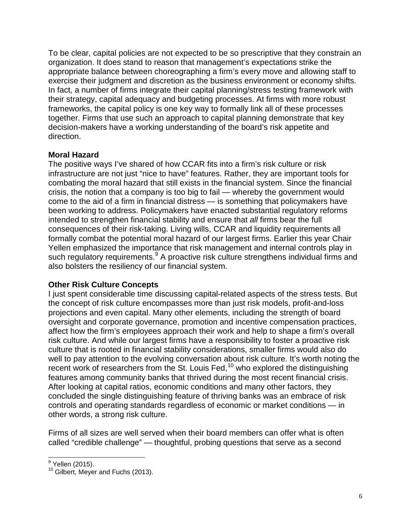To be clear, capital policies are not expected to be so prescriptive that they constrain an organization. It does stand to reason that management's expectations strike the appropriate balance between choreographing a firm's every move and allowing staff to exercise their judgment and discretion as the business environment or economy shifts. In fact, a number of firms integrate their capital planning/stress testing framework with their strategy, capital adequacy and budgeting processes. At firms with more robust frameworks, the capital policy is one key way to formally link all of these processes together. Firms that use such an approach to capital planning demonstrate that key decision-makers have a working understanding of the board's risk appetite and direction.

## **Moral Hazard**

The positive ways I've shared of how CCAR fits into a firm's risk culture or risk infrastructure are not just "nice to have" features. Rather, they are important tools for combating the moral hazard that still exists in the financial system. Since the financial crisis, the notion that a company is too big to fail — whereby the government would come to the aid of a firm in financial distress — is something that policymakers have been working to address. Policymakers have enacted substantial regulatory reforms intended to strengthen financial stability and ensure that *all* firms bear the full consequences of their risk-taking. Living wills, CCAR and liquidity requirements all formally combat the potential moral hazard of our largest firms. Earlier this year Chair Yellen emphasized the importance that risk management and internal controls play in such requiatory requirements.<sup>[9](#page-5-0)</sup> A proactive risk culture strengthens individual firms and also bolsters the resiliency of our financial system.

#### **Other Risk Culture Concepts**

I just spent considerable time discussing capital-related aspects of the stress tests. But the concept of risk culture encompasses more than just risk models, profit-and-loss projections and even capital. Many other elements, including the strength of board oversight and corporate governance, promotion and incentive compensation practices, affect how the firm's employees approach their work and help to shape a firm's overall risk culture. And while our largest firms have a responsibility to foster a proactive risk culture that is rooted in financial stability considerations, smaller firms would also do well to pay attention to the evolving conversation about risk culture. It's worth noting the recent work of researchers from the St. Louis Fed,<sup>[10](#page-5-1)</sup> who explored the distinguishing features among community banks that thrived during the most recent financial crisis. After looking at capital ratios, economic conditions and many other factors, they concluded the single distinguishing feature of thriving banks was an embrace of risk controls and operating standards regardless of economic or market conditions — in other words, a strong risk culture.

Firms of all sizes are well served when their board members can offer what is often called "credible challenge" — thoughtful, probing questions that serve as a second

<span id="page-5-1"></span><span id="page-5-0"></span> $<sup>9</sup>$  Yellen (2015).<br><sup>10</sup> Gilbert, Meyer and Fuchs (2013).</sup>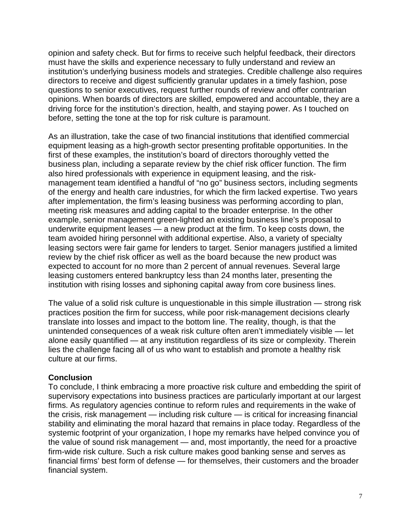opinion and safety check. But for firms to receive such helpful feedback, their directors must have the skills and experience necessary to fully understand and review an institution's underlying business models and strategies. Credible challenge also requires directors to receive and digest sufficiently granular updates in a timely fashion, pose questions to senior executives, request further rounds of review and offer contrarian opinions. When boards of directors are skilled, empowered and accountable, they are a driving force for the institution's direction, health, and staying power. As I touched on before, setting the tone at the top for risk culture is paramount.

As an illustration, take the case of two financial institutions that identified commercial equipment leasing as a high-growth sector presenting profitable opportunities. In the first of these examples, the institution's board of directors thoroughly vetted the business plan, including a separate review by the chief risk officer function. The firm also hired professionals with experience in equipment leasing, and the riskmanagement team identified a handful of "no go" business sectors, including segments of the energy and health care industries, for which the firm lacked expertise. Two years after implementation, the firm's leasing business was performing according to plan, meeting risk measures and adding capital to the broader enterprise. In the other example, senior management green-lighted an existing business line's proposal to underwrite equipment leases — a new product at the firm. To keep costs down, the team avoided hiring personnel with additional expertise. Also, a variety of specialty leasing sectors were fair game for lenders to target. Senior managers justified a limited review by the chief risk officer as well as the board because the new product was expected to account for no more than 2 percent of annual revenues. Several large leasing customers entered bankruptcy less than 24 months later, presenting the institution with rising losses and siphoning capital away from core business lines.

The value of a solid risk culture is unquestionable in this simple illustration — strong risk practices position the firm for success, while poor risk-management decisions clearly translate into losses and impact to the bottom line. The reality, though, is that the unintended consequences of a weak risk culture often aren't immediately visible — let alone easily quantified — at any institution regardless of its size or complexity. Therein lies the challenge facing all of us who want to establish and promote a healthy risk culture at our firms.

#### **Conclusion**

To conclude, I think embracing a more proactive risk culture and embedding the spirit of supervisory expectations into business practices are particularly important at our largest firms. As regulatory agencies continue to reform rules and requirements in the wake of the crisis, risk management — including risk culture — is critical for increasing financial stability and eliminating the moral hazard that remains in place today. Regardless of the systemic footprint of your organization, I hope my remarks have helped convince you of the value of sound risk management — and, most importantly, the need for a proactive firm-wide risk culture. Such a risk culture makes good banking sense and serves as financial firms' best form of defense — for themselves, their customers and the broader financial system.